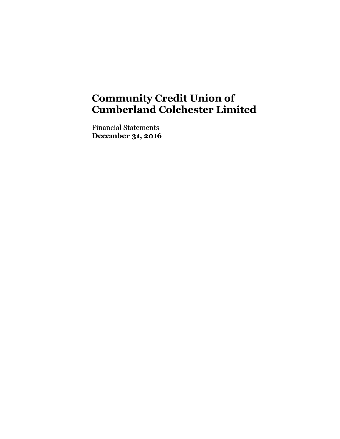Financial Statements **December 31, 2016**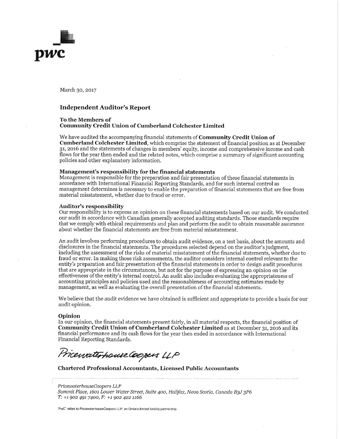

March 30, 2017

#### **Independent Auditor's Report**

#### To the Members of **Community Credit Union of Cumberland Colchester Limited**

We have audited the accompanying financial statements of Community Credit Union of Cumberland Colchester Limited, which comprise the statement of financial position as at December 31, 2016 and the statements of changes in members' equity, income and comprehensive income and cash flows for the year then ended and the related notes, which comprise a summary of significant accounting policies and other explanatory information.

#### Management's responsibility for the financial statements

Management is responsible for the preparation and fair presentation of these financial statements in accordance with International Financial Reporting Standards, and for such internal control as management determines is necessary to enable the preparation of financial statements that are free from material misstatement, whether due to fraud or error.

#### **Auditor's responsibility**

Our responsibility is to express an opinion on these financial statements based on our audit. We conducted our audit in accordance with Canadian generally accepted auditing standards. Those standards require that we comply with ethical requirements and plan and perform the audit to obtain reasonable assurance about whether the financial statements are free from material misstatement.

An audit involves performing procedures to obtain audit evidence, on a test basis, about the amounts and disclosures in the financial statements. The procedures selected depend on the auditor's judgment, including the assessment of the risks of material misstatement of the financial statements, whether due to fraud or error. In making those risk assessments, the auditor considers internal control relevant to the entity's preparation and fair presentation of the financial statements in order to design audit procedures that are appropriate in the circumstances, but not for the purpose of expressing an opinion on the effectiveness of the entity's internal control. An audit also includes evaluating the appropriateness of accounting principles and policies used and the reasonableness of accounting estimates made by management, as well as evaluating the overall presentation of the financial statements.

We believe that the audit evidence we have obtained is sufficient and appropriate to provide a basis for our audit opinion.

#### Opinion

In our opinion, the financial statements present fairly, in all material respects, the financial position of Community Credit Union of Cumberland Colchester Limited as at December 31, 2016 and its financial performance and its cash flows for the year then ended in accordance with International Financial Reporting Standards.

Pricewaterhouse Coopers LLP

**Chartered Professional Accountants, Licensed Public Accountants** 

PricewaterhouseCoopers LLP Summit Place, 1601 Lower Water Street, Suite 400, Halifax, Nova Scotia, Canada B3J 3P6 T: +1 902 491 7400, F: +1 902 422 1166

"PwC" refers to PricewaterhouseCoopers LLP, an Ontario limited liability partnership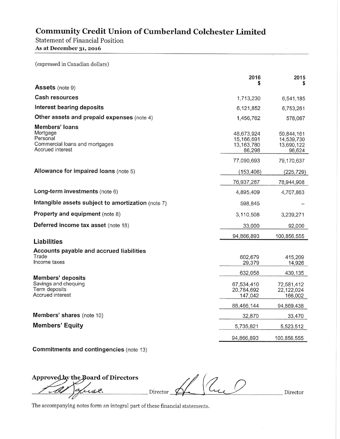**Statement of Financial Position** 

As at December 31, 2016

(expressed in Canadian dollars)

|                                                                                              | 2016                                             | 2015                                             |
|----------------------------------------------------------------------------------------------|--------------------------------------------------|--------------------------------------------------|
| Assets (note 9)                                                                              |                                                  |                                                  |
| Cash resources                                                                               | 1,713,230                                        | 6,541,185                                        |
| <b>Interest bearing deposits</b>                                                             | 6,121,852                                        | 6,753,261                                        |
| Other assets and prepaid expenses (note 4)                                                   | 1,456,762                                        | 578,067                                          |
| Members' loans<br>Mortgage<br>Personal<br>Commercial loans and mortgages<br>Accrued interest | 48,673,924<br>15,166,691<br>13,163,780<br>86,298 | 50,844,161<br>14,539,730<br>13,690,122<br>96,624 |
|                                                                                              | 77,090,693                                       | 79,170,637                                       |
| <b>Allowance for impaired loans (note 5)</b>                                                 | (153, 406)                                       | (225, 729)                                       |
|                                                                                              | 76,937,287                                       | 78,944,908                                       |
| Long-term investments (note 6)                                                               | 4,895,409                                        | 4,707,863                                        |
| Intangible assets subject to amortization (note 7)                                           | 598,845                                          |                                                  |
| Property and equipment (note 8)                                                              | 3,110,508                                        | 3,239,271                                        |
| Deferred income tax asset (note 18)                                                          | 33,000                                           | 92,000                                           |
| <b>Liabilities</b>                                                                           | 94,866,893                                       | 100,856,555                                      |
| Accounts payable and accrued liabilities                                                     |                                                  |                                                  |
| Trade<br>Income taxes                                                                        | 602,679<br>29,379                                | 415,209<br>14,926                                |
|                                                                                              | 632,058                                          | 430,135                                          |
| Members' deposits<br>Savings and chequing<br>Term deposits<br>Accrued interest               | 67,534,410<br>20,784,692<br>147,042              | 72,581,412<br>22,122,024<br>166,002              |
|                                                                                              | 88,466,144                                       | 94,869,438                                       |
| Members' shares (note 10)                                                                    | 32,870                                           | 33,470                                           |
| <b>Members' Equity</b>                                                                       | 5,735,821                                        | 5,523,512                                        |
|                                                                                              | 94,866,893                                       | 100,856,555                                      |

**Commitments and contingencies (note 13)** 

Approved by the Board of Directors Rue aprese.  $\rule{1em}{0.15mm}$  Director  $\qquad \qquad \blacktriangleleft$  $\mathscr{M}$ 

Director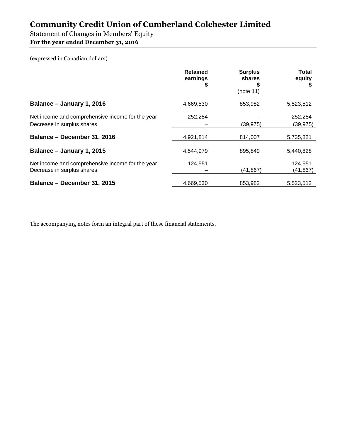Statement of Changes in Members' Equity

**For the year ended December 31, 2016** 

(expressed in Canadian dollars)

|                                                                                | <b>Retained</b><br>earnings<br>P | <b>Surplus</b><br>shares<br>(note 11) | Total<br>equity      |
|--------------------------------------------------------------------------------|----------------------------------|---------------------------------------|----------------------|
| Balance - January 1, 2016                                                      | 4,669,530                        | 853,982                               | 5,523,512            |
| Net income and comprehensive income for the year<br>Decrease in surplus shares | 252,284                          | (39, 975)                             | 252,284<br>(39, 975) |
| Balance - December 31, 2016                                                    | 4,921,814                        | 814,007                               | 5,735,821            |
| Balance - January 1, 2015                                                      | 4.544.979                        | 895,849                               | 5,440,828            |
| Net income and comprehensive income for the year<br>Decrease in surplus shares | 124,551                          | (41,867)                              | 124,551<br>(41, 867) |
| Balance - December 31, 2015                                                    | 4,669,530                        | 853,982                               | 5,523,512            |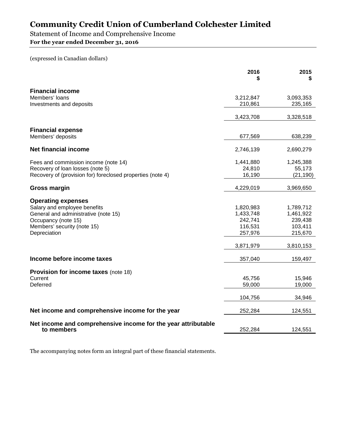Statement of Income and Comprehensive Income

**For the year ended December 31, 2016** 

(expressed in Canadian dollars)

|                                                                             | 2016      | 2015<br>S |
|-----------------------------------------------------------------------------|-----------|-----------|
| <b>Financial income</b>                                                     |           |           |
| Members' loans                                                              | 3,212,847 | 3,093,353 |
| Investments and deposits                                                    | 210,861   | 235,165   |
|                                                                             | 3,423,708 | 3,328,518 |
| <b>Financial expense</b>                                                    |           |           |
| Members' deposits                                                           | 677,569   | 638,239   |
| <b>Net financial income</b>                                                 | 2,746,139 | 2,690,279 |
| Fees and commission income (note 14)                                        | 1,441,880 | 1,245,388 |
| Recovery of loan losses (note 5)                                            | 24,810    | 55,173    |
| Recovery of (provision for) foreclosed properties (note 4)                  | 16,190    | (21, 190) |
| Gross margin                                                                | 4,229,019 | 3,969,650 |
| <b>Operating expenses</b>                                                   |           |           |
| Salary and employee benefits                                                | 1,820,983 | 1,789,712 |
| General and administrative (note 15)                                        | 1,433,748 | 1,461,922 |
| Occupancy (note 15)                                                         | 242,741   | 239,438   |
| Members' security (note 15)                                                 | 116,531   | 103,411   |
| Depreciation                                                                | 257,976   | 215,670   |
|                                                                             | 3,871,979 | 3,810,153 |
| Income before income taxes                                                  | 357,040   | 159,497   |
| <b>Provision for income taxes (note 18)</b>                                 |           |           |
| Current                                                                     | 45,756    | 15,946    |
| Deferred                                                                    | 59,000    | 19,000    |
|                                                                             | 104,756   | 34,946    |
| Net income and comprehensive income for the year                            | 252,284   | 124,551   |
|                                                                             |           |           |
| Net income and comprehensive income for the year attributable<br>to members | 252,284   | 124,551   |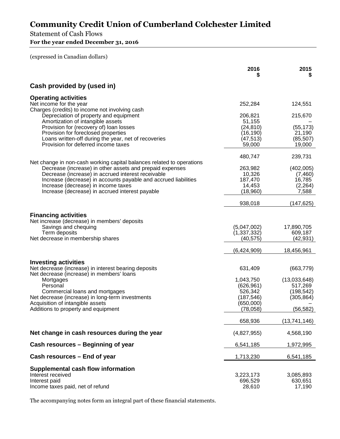## Statement of Cash Flows

**For the year ended December 31, 2016** 

(expressed in Canadian dollars)

|                                                                                                                       | 2016                    | 2015<br>S         |
|-----------------------------------------------------------------------------------------------------------------------|-------------------------|-------------------|
| Cash provided by (used in)                                                                                            |                         |                   |
| <b>Operating activities</b>                                                                                           |                         |                   |
| Net income for the year                                                                                               | 252,284                 | 124,551           |
| Charges (credits) to income not involving cash<br>Depreciation of property and equipment                              | 206,821                 | 215,670           |
| Amortization of intangible assets                                                                                     | 51,155                  |                   |
| Provision for (recovery of) loan losses                                                                               | (24, 810)               | (55, 173)         |
| Provision for foreclosed properties                                                                                   | (16, 190)               | 21,190            |
| Loans written-off during the year, net of recoveries                                                                  | (47, 513)               | (85, 507)         |
| Provision for deferred income taxes                                                                                   | 59,000                  | 19,000            |
|                                                                                                                       | 480,747                 | 239,731           |
| Net change in non-cash working capital balances related to operations                                                 |                         |                   |
| Decrease (increase) in other assets and prepaid expenses                                                              | 263,982                 | (402,005)         |
| Decrease (increase) in accrued interest receivable<br>Increase (decrease) in accounts payable and accrued liabilities | 10,326<br>187,470       | (7,460)<br>16,785 |
| Increase (decrease) in income taxes                                                                                   | 14,453                  | (2, 264)          |
| Increase (decrease) in accrued interest payable                                                                       | (18,960)                | 7,588             |
|                                                                                                                       | 938,018                 | (147, 625)        |
|                                                                                                                       |                         |                   |
| <b>Financing activities</b><br>Net increase (decrease) in members' deposits                                           |                         |                   |
| Savings and chequing                                                                                                  | (5,047,002)             | 17,890,705        |
| Term deposits                                                                                                         | (1, 337, 332)           | 609,187           |
| Net decrease in membership shares                                                                                     | (40, 575)               | (42, 931)         |
|                                                                                                                       | (6,424,909)             | 18,456,961        |
| <b>Investing activities</b>                                                                                           |                         |                   |
| Net decrease (increase) in interest bearing deposits                                                                  | 631,409                 | (663, 779)        |
| Net decrease (increase) in members' loans                                                                             |                         |                   |
| Mortgages                                                                                                             | 1,043,750               | (13,033,648)      |
| Personal                                                                                                              | (626, 961)              | 517,269           |
| Commercial loans and mortgages                                                                                        | 526,342                 | (198, 542)        |
| Net decrease (increase) in long-term investments<br>Acquisition of intangible assets                                  | (187, 546)<br>(650,000) | (305, 864)        |
| Additions to property and equipment                                                                                   | (78,058)                | (56, 582)         |
|                                                                                                                       | 658,936                 | (13,741,146)      |
| Net change in cash resources during the year                                                                          | (4,827,955)             | 4,568,190         |
| Cash resources - Beginning of year                                                                                    | 6,541,185               | 1,972,995         |
|                                                                                                                       |                         |                   |
| Cash resources - End of year                                                                                          | 1,713,230               | 6,541,185         |
| Supplemental cash flow information                                                                                    |                         |                   |
| Interest received                                                                                                     | 3,223,173               | 3,085,893         |
| Interest paid                                                                                                         | 696,529                 | 630,651           |
| Income taxes paid, net of refund                                                                                      | 28,610                  | 17,190            |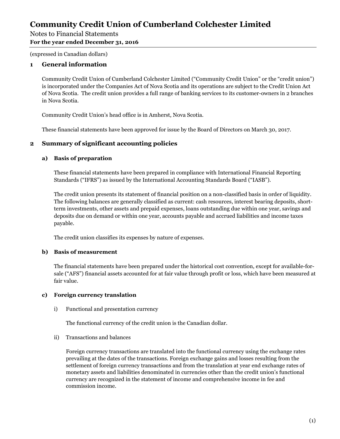### Notes to Financial Statements **For the year ended December 31, 2016**

(expressed in Canadian dollars)

## **1 General information**

Community Credit Union of Cumberland Colchester Limited ("Community Credit Union" or the "credit union") is incorporated under the Companies Act of Nova Scotia and its operations are subject to the Credit Union Act of Nova Scotia. The credit union provides a full range of banking services to its customer-owners in 2 branches in Nova Scotia.

Community Credit Union's head office is in Amherst, Nova Scotia.

These financial statements have been approved for issue by the Board of Directors on March 30, 2017.

## **2 Summary of significant accounting policies**

### **a) Basis of preparation**

These financial statements have been prepared in compliance with International Financial Reporting Standards ("IFRS") as issued by the International Accounting Standards Board ("IASB").

The credit union presents its statement of financial position on a non-classified basis in order of liquidity. The following balances are generally classified as current: cash resources, interest bearing deposits, shortterm investments, other assets and prepaid expenses, loans outstanding due within one year, savings and deposits due on demand or within one year, accounts payable and accrued liabilities and income taxes payable.

The credit union classifies its expenses by nature of expenses.

### **b) Basis of measurement**

The financial statements have been prepared under the historical cost convention, except for available-forsale ("AFS") financial assets accounted for at fair value through profit or loss, which have been measured at fair value.

#### **c) Foreign currency translation**

i) Functional and presentation currency

The functional currency of the credit union is the Canadian dollar.

ii) Transactions and balances

Foreign currency transactions are translated into the functional currency using the exchange rates prevailing at the dates of the transactions. Foreign exchange gains and losses resulting from the settlement of foreign currency transactions and from the translation at year end exchange rates of monetary assets and liabilities denominated in currencies other than the credit union's functional currency are recognized in the statement of income and comprehensive income in fee and commission income.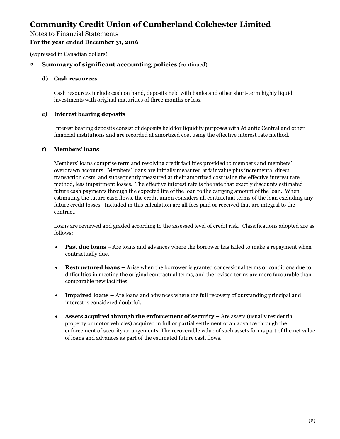Notes to Financial Statements

**For the year ended December 31, 2016** 

(expressed in Canadian dollars)

## **2 Summary of significant accounting policies** (continued)

#### **d) Cash resources**

Cash resources include cash on hand, deposits held with banks and other short-term highly liquid investments with original maturities of three months or less.

#### **e) Interest bearing deposits**

Interest bearing deposits consist of deposits held for liquidity purposes with Atlantic Central and other financial institutions and are recorded at amortized cost using the effective interest rate method.

#### **f) Members' loans**

Members' loans comprise term and revolving credit facilities provided to members and members' overdrawn accounts. Members' loans are initially measured at fair value plus incremental direct transaction costs, and subsequently measured at their amortized cost using the effective interest rate method, less impairment losses. The effective interest rate is the rate that exactly discounts estimated future cash payments through the expected life of the loan to the carrying amount of the loan. When estimating the future cash flows, the credit union considers all contractual terms of the loan excluding any future credit losses. Included in this calculation are all fees paid or received that are integral to the contract.

Loans are reviewed and graded according to the assessed level of credit risk. Classifications adopted are as follows:

- **Past due loans** Are loans and advances where the borrower has failed to make a repayment when contractually due.
- **Restructured loans** Arise when the borrower is granted concessional terms or conditions due to difficulties in meeting the original contractual terms, and the revised terms are more favourable than comparable new facilities.
- **Impaired loans** Are loans and advances where the full recovery of outstanding principal and interest is considered doubtful.
- **Assets acquired through the enforcement of security** Are assets (usually residential property or motor vehicles) acquired in full or partial settlement of an advance through the enforcement of security arrangements. The recoverable value of such assets forms part of the net value of loans and advances as part of the estimated future cash flows.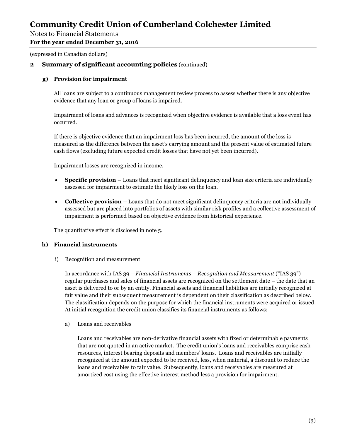Notes to Financial Statements

**For the year ended December 31, 2016** 

(expressed in Canadian dollars)

## **2 Summary of significant accounting policies** (continued)

## **g) Provision for impairment**

All loans are subject to a continuous management review process to assess whether there is any objective evidence that any loan or group of loans is impaired.

Impairment of loans and advances is recognized when objective evidence is available that a loss event has occurred.

If there is objective evidence that an impairment loss has been incurred, the amount of the loss is measured as the difference between the asset's carrying amount and the present value of estimated future cash flows (excluding future expected credit losses that have not yet been incurred).

Impairment losses are recognized in income.

- **Specific provision** Loans that meet significant delinquency and loan size criteria are individually assessed for impairment to estimate the likely loss on the loan.
- **Collective provision** Loans that do not meet significant delinquency criteria are not individually assessed but are placed into portfolios of assets with similar risk profiles and a collective assessment of impairment is performed based on objective evidence from historical experience.

The quantitative effect is disclosed in note 5.

## **h) Financial instruments**

i) Recognition and measurement

In accordance with IAS 39 – *Financial Instruments – Recognition and Measurement* ("IAS 39") regular purchases and sales of financial assets are recognized on the settlement date – the date that an asset is delivered to or by an entity. Financial assets and financial liabilities are initially recognized at fair value and their subsequent measurement is dependent on their classification as described below. The classification depends on the purpose for which the financial instruments were acquired or issued. At initial recognition the credit union classifies its financial instruments as follows:

a) Loans and receivables

Loans and receivables are non-derivative financial assets with fixed or determinable payments that are not quoted in an active market. The credit union's loans and receivables comprise cash resources, interest bearing deposits and members' loans. Loans and receivables are initially recognized at the amount expected to be received, less, when material, a discount to reduce the loans and receivables to fair value. Subsequently, loans and receivables are measured at amortized cost using the effective interest method less a provision for impairment.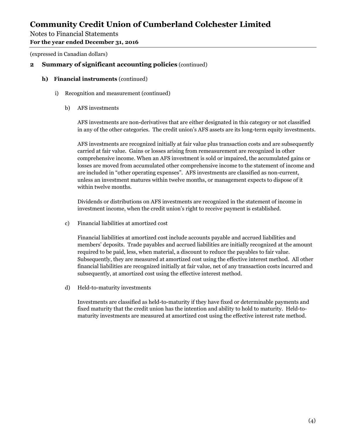Notes to Financial Statements

## **For the year ended December 31, 2016**

(expressed in Canadian dollars)

## **2 Summary of significant accounting policies** (continued)

- **h) Financial instruments** (continued)
	- i) Recognition and measurement (continued)
		- b) AFS investments

AFS investments are non-derivatives that are either designated in this category or not classified in any of the other categories. The credit union's AFS assets are its long-term equity investments.

AFS investments are recognized initially at fair value plus transaction costs and are subsequently carried at fair value. Gains or losses arising from remeasurement are recognized in other comprehensive income. When an AFS investment is sold or impaired, the accumulated gains or losses are moved from accumulated other comprehensive income to the statement of income and are included in "other operating expenses". AFS investments are classified as non-current, unless an investment matures within twelve months, or management expects to dispose of it within twelve months.

Dividends or distributions on AFS investments are recognized in the statement of income in investment income, when the credit union's right to receive payment is established.

c) Financial liabilities at amortized cost

Financial liabilities at amortized cost include accounts payable and accrued liabilities and members' deposits. Trade payables and accrued liabilities are initially recognized at the amount required to be paid, less, when material, a discount to reduce the payables to fair value. Subsequently, they are measured at amortized cost using the effective interest method. All other financial liabilities are recognized initially at fair value, net of any transaction costs incurred and subsequently, at amortized cost using the effective interest method.

d) Held-to-maturity investments

Investments are classified as held-to-maturity if they have fixed or determinable payments and fixed maturity that the credit union has the intention and ability to hold to maturity. Held-tomaturity investments are measured at amortized cost using the effective interest rate method.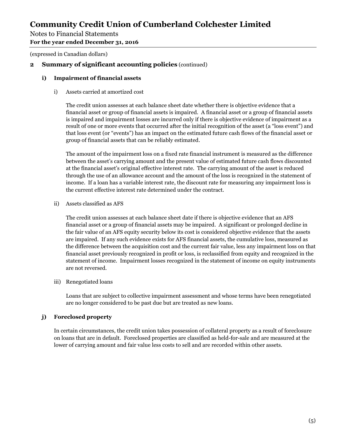## Notes to Financial Statements

### **For the year ended December 31, 2016**

(expressed in Canadian dollars)

## **2 Summary of significant accounting policies** (continued)

#### **i) Impairment of financial assets**

#### i) Assets carried at amortized cost

The credit union assesses at each balance sheet date whether there is objective evidence that a financial asset or group of financial assets is impaired. A financial asset or a group of financial assets is impaired and impairment losses are incurred only if there is objective evidence of impairment as a result of one or more events that occurred after the initial recognition of the asset (a "loss event") and that loss event (or "events") has an impact on the estimated future cash flows of the financial asset or group of financial assets that can be reliably estimated.

The amount of the impairment loss on a fixed rate financial instrument is measured as the difference between the asset's carrying amount and the present value of estimated future cash flows discounted at the financial asset's original effective interest rate. The carrying amount of the asset is reduced through the use of an allowance account and the amount of the loss is recognized in the statement of income. If a loan has a variable interest rate, the discount rate for measuring any impairment loss is the current effective interest rate determined under the contract.

ii) Assets classified as AFS

The credit union assesses at each balance sheet date if there is objective evidence that an AFS financial asset or a group of financial assets may be impaired. A significant or prolonged decline in the fair value of an AFS equity security below its cost is considered objective evidence that the assets are impaired. If any such evidence exists for AFS financial assets, the cumulative loss, measured as the difference between the acquisition cost and the current fair value, less any impairment loss on that financial asset previously recognized in profit or loss, is reclassified from equity and recognized in the statement of income. Impairment losses recognized in the statement of income on equity instruments are not reversed.

#### iii) Renegotiated loans

Loans that are subject to collective impairment assessment and whose terms have been renegotiated are no longer considered to be past due but are treated as new loans.

#### **j) Foreclosed property**

In certain circumstances, the credit union takes possession of collateral property as a result of foreclosure on loans that are in default. Foreclosed properties are classified as held-for-sale and are measured at the lower of carrying amount and fair value less costs to sell and are recorded within other assets.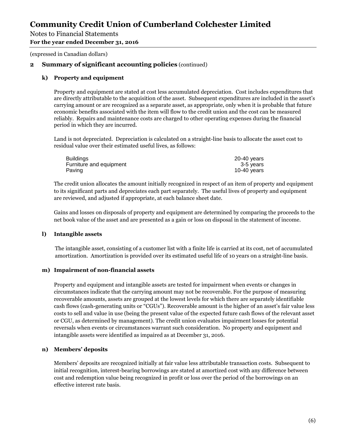Notes to Financial Statements

### **For the year ended December 31, 2016**

(expressed in Canadian dollars)

## **2 Summary of significant accounting policies** (continued)

## **k) Property and equipment**

Property and equipment are stated at cost less accumulated depreciation. Cost includes expenditures that are directly attributable to the acquisition of the asset. Subsequent expenditures are included in the asset's carrying amount or are recognized as a separate asset, as appropriate, only when it is probable that future economic benefits associated with the item will flow to the credit union and the cost can be measured reliably. Repairs and maintenance costs are charged to other operating expenses during the financial period in which they are incurred.

Land is not depreciated. Depreciation is calculated on a straight-line basis to allocate the asset cost to residual value over their estimated useful lives, as follows:

| <b>Buildings</b>        | $20-40$ years |
|-------------------------|---------------|
| Furniture and equipment | 3-5 years     |
| Paving                  | 10-40 $years$ |

The credit union allocates the amount initially recognized in respect of an item of property and equipment to its significant parts and depreciates each part separately. The useful lives of property and equipment are reviewed, and adjusted if appropriate, at each balance sheet date.

Gains and losses on disposals of property and equipment are determined by comparing the proceeds to the net book value of the asset and are presented as a gain or loss on disposal in the statement of income.

#### **l) Intangible assets**

The intangible asset, consisting of a customer list with a finite life is carried at its cost, net of accumulated amortization. Amortization is provided over its estimated useful life of 10 years on a straight-line basis.

#### **m) Impairment of non-financial assets**

Property and equipment and intangible assets are tested for impairment when events or changes in circumstances indicate that the carrying amount may not be recoverable. For the purpose of measuring recoverable amounts, assets are grouped at the lowest levels for which there are separately identifiable cash flows (cash-generating units or "CGUs"). Recoverable amount is the higher of an asset's fair value less costs to sell and value in use (being the present value of the expected future cash flows of the relevant asset or CGU, as determined by management). The credit union evaluates impairment losses for potential reversals when events or circumstances warrant such consideration. No property and equipment and intangible assets were identified as impaired as at December 31, 2016.

#### **n) Members' deposits**

Members' deposits are recognized initially at fair value less attributable transaction costs. Subsequent to initial recognition, interest-bearing borrowings are stated at amortized cost with any difference between cost and redemption value being recognized in profit or loss over the period of the borrowings on an effective interest rate basis.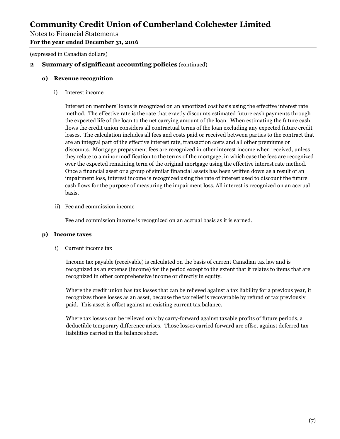Notes to Financial Statements

### **For the year ended December 31, 2016**

(expressed in Canadian dollars)

## **2 Summary of significant accounting policies** (continued)

#### **o) Revenue recognition**

i) Interest income

Interest on members' loans is recognized on an amortized cost basis using the effective interest rate method. The effective rate is the rate that exactly discounts estimated future cash payments through the expected life of the loan to the net carrying amount of the loan. When estimating the future cash flows the credit union considers all contractual terms of the loan excluding any expected future credit losses. The calculation includes all fees and costs paid or received between parties to the contract that are an integral part of the effective interest rate, transaction costs and all other premiums or discounts. Mortgage prepayment fees are recognized in other interest income when received, unless they relate to a minor modification to the terms of the mortgage, in which case the fees are recognized over the expected remaining term of the original mortgage using the effective interest rate method. Once a financial asset or a group of similar financial assets has been written down as a result of an impairment loss, interest income is recognized using the rate of interest used to discount the future cash flows for the purpose of measuring the impairment loss. All interest is recognized on an accrual basis.

ii) Fee and commission income

Fee and commission income is recognized on an accrual basis as it is earned.

#### **p) Income taxes**

i) Current income tax

Income tax payable (receivable) is calculated on the basis of current Canadian tax law and is recognized as an expense (income) for the period except to the extent that it relates to items that are recognized in other comprehensive income or directly in equity.

Where the credit union has tax losses that can be relieved against a tax liability for a previous year, it recognizes those losses as an asset, because the tax relief is recoverable by refund of tax previously paid. This asset is offset against an existing current tax balance.

Where tax losses can be relieved only by carry-forward against taxable profits of future periods, a deductible temporary difference arises. Those losses carried forward are offset against deferred tax liabilities carried in the balance sheet.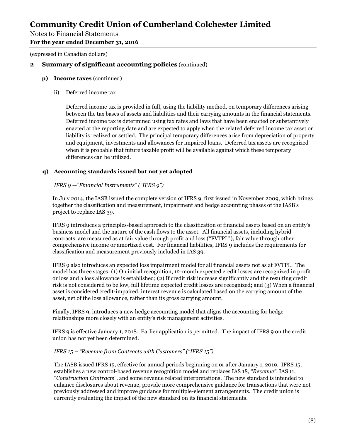## Notes to Financial Statements

## **For the year ended December 31, 2016**

(expressed in Canadian dollars)

## **2 Summary of significant accounting policies** (continued)

- **p) Income taxes** (continued)
	- ii) Deferred income tax

Deferred income tax is provided in full, using the liability method, on temporary differences arising between the tax bases of assets and liabilities and their carrying amounts in the financial statements. Deferred income tax is determined using tax rates and laws that have been enacted or substantively enacted at the reporting date and are expected to apply when the related deferred income tax asset or liability is realized or settled. The principal temporary differences arise from depreciation of property and equipment, investments and allowances for impaired loans. Deferred tax assets are recognized when it is probable that future taxable profit will be available against which these temporary differences can be utilized.

### **q) Accounting standards issued but not yet adopted**

#### *IFRS 9 —"Financial Instruments" ("IFRS 9")*

In July 2014, the IASB issued the complete version of IFRS 9, first issued in November 2009, which brings together the classification and measurement, impairment and hedge accounting phases of the IASB's project to replace IAS 39.

IFRS 9 introduces a principles-based approach to the classification of financial assets based on an entity's business model and the nature of the cash flows to the asset. All financial assets, including hybrid contracts, are measured as at fair value through profit and loss ("FVTPL"), fair value through other comprehensive income or amortized cost. For financial liabilities, IFRS 9 includes the requirements for classification and measurement previously included in IAS 39.

IFRS 9 also introduces an expected loss impairment model for all financial assets not as at FVTPL. The model has three stages: (1) On initial recognition, 12-month expected credit losses are recognized in profit or loss and a loss allowance is established; (2) If credit risk increase significantly and the resulting credit risk is not considered to be low, full lifetime expected credit losses are recognized; and (3) When a financial asset is considered credit-impaired, interest revenue is calculated based on the carrying amount of the asset, net of the loss allowance, rather than its gross carrying amount.

Finally, IFRS 9, introduces a new hedge accounting model that aligns the accounting for hedge relationships more closely with an entity's risk management activities.

IFRS 9 is effective January 1, 2018. Earlier application is permitted. The impact of IFRS 9 on the credit union has not yet been determined.

#### *IFRS 15 – "Revenue from Contracts with Customers" ("IFRS 15")*

The IASB issued IFRS 15, effective for annual periods beginning on or after January 1, 2019. IFRS 15, establishes a new control-based revenue recognition model and replaces IAS 18, *"Revenue"*, IAS 11, "*Construction Contracts*", and some revenue related interpretations. The new standard is intended to enhance disclosures about revenue, provide more comprehensive guidance for transactions that were not previously addressed and improve guidance for multiple-element arrangements. The credit union is currently evaluating the impact of the new standard on its financial statements.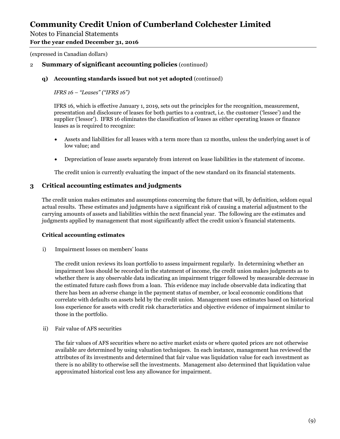Notes to Financial Statements

**For the year ended December 31, 2016** 

(expressed in Canadian dollars)

## 2 **Summary of significant accounting policies** (continued)

### **q) Accounting standards issued but not yet adopted** (continued)

*IFRS 16 – "Leases" ("IFRS 16")*

IFRS 16, which is effective January 1, 2019, sets out the principles for the recognition, measurement, presentation and disclosure of leases for both parties to a contract, i.e. the customer ('lessee') and the supplier ('lessor'). IFRS 16 eliminates the classification of leases as either operating leases or finance leases as is required to recognize:

- Assets and liabilities for all leases with a term more than 12 months, unless the underlying asset is of low value; and
- Depreciation of lease assets separately from interest on lease liabilities in the statement of income.

The credit union is currently evaluating the impact of the new standard on its financial statements.

## **3 Critical accounting estimates and judgments**

The credit union makes estimates and assumptions concerning the future that will, by definition, seldom equal actual results. These estimates and judgments have a significant risk of causing a material adjustment to the carrying amounts of assets and liabilities within the next financial year. The following are the estimates and judgments applied by management that most significantly affect the credit union's financial statements.

#### **Critical accounting estimates**

i) Impairment losses on members' loans

The credit union reviews its loan portfolio to assess impairment regularly. In determining whether an impairment loss should be recorded in the statement of income, the credit union makes judgments as to whether there is any observable data indicating an impairment trigger followed by measurable decrease in the estimated future cash flows from a loan. This evidence may include observable data indicating that there has been an adverse change in the payment status of member, or local economic conditions that correlate with defaults on assets held by the credit union. Management uses estimates based on historical loss experience for assets with credit risk characteristics and objective evidence of impairment similar to those in the portfolio.

ii) Fair value of AFS securities

The fair values of AFS securities where no active market exists or where quoted prices are not otherwise available are determined by using valuation techniques. In each instance, management has reviewed the attributes of its investments and determined that fair value was liquidation value for each investment as there is no ability to otherwise sell the investments. Management also determined that liquidation value approximated historical cost less any allowance for impairment.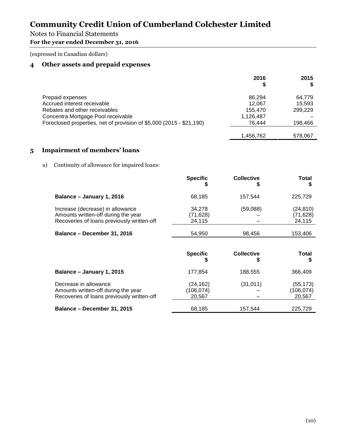## Notes to Financial Statements

**For the year ended December 31, 2016** 

(expressed in Canadian dollars)

## **4 Other assets and prepaid expenses**

|                                                                      | 2016<br>S | 2015    |
|----------------------------------------------------------------------|-----------|---------|
| Prepaid expenses                                                     | 86.294    | 64,779  |
| Accrued interest receivable                                          | 12.067    | 15,593  |
| Rebates and other receivables                                        | 155.470   | 299.229 |
| Concentra Mortgage Pool receivable                                   | 1,126,487 |         |
| Foreclosed properties, net of provision of \$5,000 (2015 - \$21,190) | 76.444    | 198,466 |
|                                                                      |           |         |
|                                                                      | 1,456,762 | 578,067 |

## **5 Impairment of members' loans**

a) Continuity of allowance for impaired loans:

|                                                                                                                       | <b>Specific</b>              | <b>Collective</b> | <b>Total</b>                     |
|-----------------------------------------------------------------------------------------------------------------------|------------------------------|-------------------|----------------------------------|
| Balance - January 1, 2016                                                                                             | 68,185                       | 157.544           | 225,729                          |
| Increase (decrease) in allowance<br>Amounts written-off during the year<br>Recoveries of loans previously written-off | 34.278<br>(71,628)<br>24,115 | (59,088)          | (24, 810)<br>(71, 628)<br>24,115 |
| Balance - December 31, 2016                                                                                           | 54.950                       | 98.456            | 153.406                          |

|                                                                                                            | <b>Specific</b>                  | <b>Collective</b> | Total                            |
|------------------------------------------------------------------------------------------------------------|----------------------------------|-------------------|----------------------------------|
| Balance - January 1, 2015                                                                                  | 177.854                          | 188,555           | 366,409                          |
| Decrease in allowance<br>Amounts written-off during the year<br>Recoveries of loans previously written-off | (24, 162)<br>(106,074)<br>20,567 | (31, 011)         | (55, 173)<br>(106,074)<br>20,567 |
| Balance - December 31, 2015                                                                                | 68.185                           | 157.544           | 225,729                          |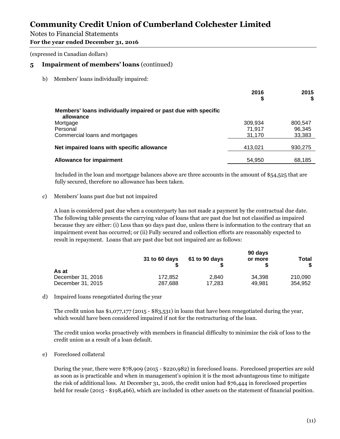## Notes to Financial Statements

**For the year ended December 31, 2016** 

(expressed in Canadian dollars)

## **5 Impairment of members' loans** (continued)

b) Members' loans individually impaired:

|                                                                             | 2016<br>\$ | 2015<br>S |
|-----------------------------------------------------------------------------|------------|-----------|
| Members' loans individually impaired or past due with specific<br>allowance |            |           |
| Mortgage                                                                    | 309,934    | 800,547   |
| Personal                                                                    | 71.917     | 96,345    |
| Commercial loans and mortgages                                              | 31,170     | 33,383    |
| Net impaired loans with specific allowance                                  | 413,021    | 930,275   |
| <b>Allowance for impairment</b>                                             | 54,950     | 68,185    |

Included in the loan and mortgage balances above are three accounts in the amount of \$54,525 that are fully secured, therefore no allowance has been taken.

### c) Members' loans past due but not impaired

A loan is considered past due when a counterparty has not made a payment by the contractual due date. The following table presents the carrying value of loans that are past due but not classified as impaired because they are either: (i) Less than 90 days past due, unless there is information to the contrary that an impairment event has occurred; or (ii) Fully secured and collection efforts are reasonably expected to result in repayment. Loans that are past due but not impaired are as follows:

|                   | 31 to 60 days | 61 to 90 days | 90 days<br>or more | Total<br>S. |
|-------------------|---------------|---------------|--------------------|-------------|
| As at             |               |               |                    |             |
| December 31, 2016 | 172.852       | 2.840         | 34.398             | 210.090     |
| December 31, 2015 | 287,688       | 17.283        | 49.981             | 354.952     |

#### d) Impaired loans renegotiated during the year

The credit union has \$1,077,177 (2015 - \$83,531) in loans that have been renegotiated during the year, which would have been considered impaired if not for the restructuring of the loan.

The credit union works proactively with members in financial difficulty to minimize the risk of loss to the credit union as a result of a loan default.

e) Foreclosed collateral

During the year, there were \$78,909 (2015 - \$220,982) in foreclosed loans. Foreclosed properties are sold as soon as is practicable and when in management's opinion it is the most advantageous time to mitigate the risk of additional loss. At December 31, 2016, the credit union had \$76,444 in foreclosed properties held for resale (2015 - \$198,466), which are included in other assets on the statement of financial position.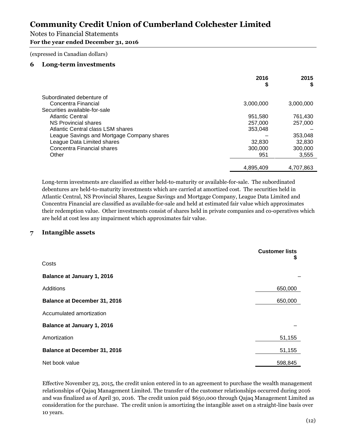### Notes to Financial Statements

**For the year ended December 31, 2016** 

(expressed in Canadian dollars)

### **6 Long-term investments**

|                                            | 2016<br>\$ | 2015<br>S |
|--------------------------------------------|------------|-----------|
| Subordinated debenture of                  |            |           |
| Concentra Financial                        | 3,000,000  | 3,000,000 |
| Securities available-for-sale              |            |           |
| <b>Atlantic Central</b>                    | 951,580    | 761,430   |
| NS Provincial shares                       | 257,000    | 257,000   |
| Atlantic Central class LSM shares          | 353.048    |           |
| League Savings and Mortgage Company shares |            | 353,048   |
| League Data Limited shares                 | 32,830     | 32,830    |
| Concentra Financial shares                 | 300,000    | 300,000   |
| Other                                      | 951        | 3,555     |
|                                            |            |           |
|                                            | 4,895,409  | 4,707,863 |

Long-term investments are classified as either held-to-maturity or available-for-sale. The subordinated debentures are held-to-maturity investments which are carried at amortized cost. The securities held in Atlantic Central, NS Provincial Shares, League Savings and Mortgage Company, League Data Limited and Concentra Financial are classified as available-for-sale and held at estimated fair value which approximates their redemption value. Other investments consist of shares held in private companies and co-operatives which are held at cost less any impairment which approximates fair value.

### **7 Intangible assets**

|                                   | <b>Customer lists</b><br>\$ |
|-----------------------------------|-----------------------------|
| Costs                             |                             |
| <b>Balance at January 1, 2016</b> |                             |
| Additions                         | 650,000                     |
| Balance at December 31, 2016      | 650,000                     |
| Accumulated amortization          |                             |
| <b>Balance at January 1, 2016</b> |                             |
| Amortization                      | 51,155                      |
| Balance at December 31, 2016      | 51,155                      |
| Net book value                    | 598,845                     |

Effective November 23, 2015, the credit union entered in to an agreement to purchase the wealth management relationships of Qajaq Management Limited. The transfer of the customer relationships occurred during 2016 and was finalized as of April 30, 2016. The credit union paid \$650,000 through Qajaq Management Limited as consideration for the purchase. The credit union is amortizing the intangible asset on a straight-line basis over 10 years.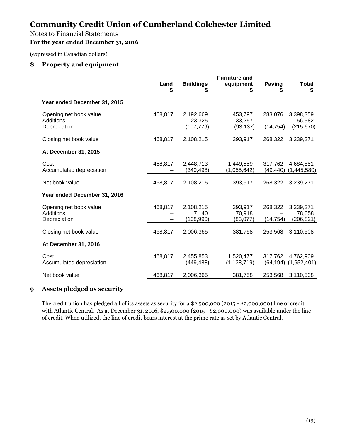## Notes to Financial Statements

**For the year ended December 31, 2016** 

(expressed in Canadian dollars)

## **8 Property and equipment**

|                                                            | Land<br>\$ | <b>Buildings</b><br>5            | <b>Furniture and</b><br>equipment<br>S | <b>Paving</b>        | <b>Total</b><br>S                 |
|------------------------------------------------------------|------------|----------------------------------|----------------------------------------|----------------------|-----------------------------------|
| Year ended December 31, 2015                               |            |                                  |                                        |                      |                                   |
| Opening net book value<br>Additions<br>Depreciation        | 468,817    | 2,192,669<br>23,325<br>(107,779) | 453,797<br>33,257<br>(93, 137)         | 283,076<br>(14, 754) | 3,398,359<br>56,582<br>(215, 670) |
| Closing net book value                                     | 468,817    | 2,108,215                        | 393,917                                | 268,322              | 3,239,271                         |
| At December 31, 2015                                       |            |                                  |                                        |                      |                                   |
| Cost<br>Accumulated depreciation                           | 468,817    | 2,448,713<br>(340, 498)          | 1,449,559<br>(1,055,642)               | 317,762<br>(49, 440) | 4,684,851<br>(1,445,580)          |
| Net book value                                             | 468,817    | 2,108,215                        | 393,917                                | 268,322              | 3,239,271                         |
| Year ended December 31, 2016                               |            |                                  |                                        |                      |                                   |
| Opening net book value<br><b>Additions</b><br>Depreciation | 468,817    | 2,108,215<br>7,140<br>(108,990)  | 393,917<br>70,918<br>(83,077)          | 268,322<br>(14,754)  | 3,239,271<br>78,058<br>(206, 821) |
| Closing net book value                                     | 468,817    | 2,006,365                        | 381,758                                | 253,568              | 3,110,508                         |
| At December 31, 2016                                       |            |                                  |                                        |                      |                                   |
| Cost<br>Accumulated depreciation                           | 468,817    | 2,455,853<br>(449,488)           | 1,520,477<br>(1, 138, 719)             | 317,762<br>(64, 194) | 4,762,909<br>(1,652,401)          |
| Net book value                                             | 468,817    | 2,006,365                        | 381,758                                | 253,568              | 3,110,508                         |

## **9 Assets pledged as security**

The credit union has pledged all of its assets as security for a \$2,500,000 (2015 - \$2,000,000) line of credit with Atlantic Central. As at December 31, 2016, \$2,500,000 (2015 - \$2,000,000) was available under the line of credit. When utilized, the line of credit bears interest at the prime rate as set by Atlantic Central.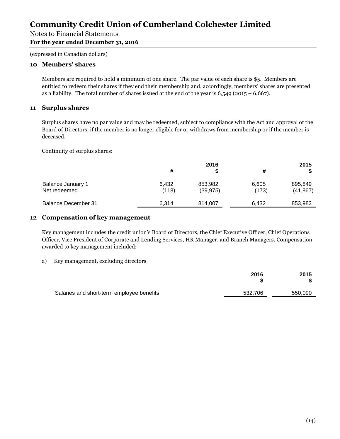## Notes to Financial Statements

**For the year ended December 31, 2016** 

(expressed in Canadian dollars)

### **10 Members' shares**

Members are required to hold a minimum of one share. The par value of each share is \$5. Members are entitled to redeem their shares if they end their membership and, accordingly, members' shares are presented as a liability. The total number of shares issued at the end of the year is  $6,549$  (2015 – 6,667).

### **11 Surplus shares**

Surplus shares have no par value and may be redeemed, subject to compliance with the Act and approval of the Board of Directors, if the member is no longer eligible for or withdraws from membership or if the member is deceased.

Continuity of surplus shares:

|                                          |                | 2016                 | 2015           |                      |  |  |
|------------------------------------------|----------------|----------------------|----------------|----------------------|--|--|
|                                          |                |                      | #              |                      |  |  |
| <b>Balance January 1</b><br>Net redeemed | 6,432<br>(118) | 853,982<br>(39, 975) | 6,605<br>(173) | 895,849<br>(41, 867) |  |  |
| <b>Balance December 31</b>               | 6.314          | 814,007              | 6,432          | 853,982              |  |  |

## **12 Compensation of key management**

Key management includes the credit union's Board of Directors, the Chief Executive Officer, Chief Operations Officer, Vice President of Corporate and Lending Services, HR Manager, and Branch Managers. Compensation awarded to key management included:

#### a) Key management, excluding directors

|                                           | 2016    | 2015    |
|-------------------------------------------|---------|---------|
| Salaries and short-term employee benefits | 532,706 | 550,090 |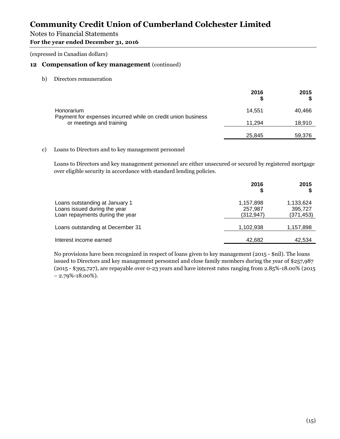## Notes to Financial Statements

#### **For the year ended December 31, 2016**

(expressed in Canadian dollars)

### **12 Compensation of key management** (continued)

b) Directors remuneration

|                                                                                          | 2016   | 2015   |
|------------------------------------------------------------------------------------------|--------|--------|
| Honorarium                                                                               | 14.551 | 40,466 |
| Payment for expenses incurred while on credit union business<br>or meetings and training | 11.294 | 18,910 |
|                                                                                          | 25,845 | 59,376 |

c) Loans to Directors and to key management personnel

Loans to Directors and key management personnel are either unsecured or secured by registered mortgage over eligible security in accordance with standard lending policies.

|                                                                                                   | 2016                               | 2015                               |
|---------------------------------------------------------------------------------------------------|------------------------------------|------------------------------------|
| Loans outstanding at January 1<br>Loans issued during the year<br>Loan repayments during the year | 1,157,898<br>257,987<br>(312, 947) | 1,133,624<br>395,727<br>(371, 453) |
| Loans outstanding at December 31                                                                  | 1,102,938                          | 1,157,898                          |
| Interest income earned                                                                            | 42,682                             | 42,534                             |

No provisions have been recognized in respect of loans given to key management (2015 - \$nil). The loans issued to Directors and key management personnel and close family members during the year of \$257,987 (2015 - \$395,727), are repayable over 0-23 years and have interest rates ranging from 2.85%-18.00% (2015  $-2.79\% -18.00\%$ ).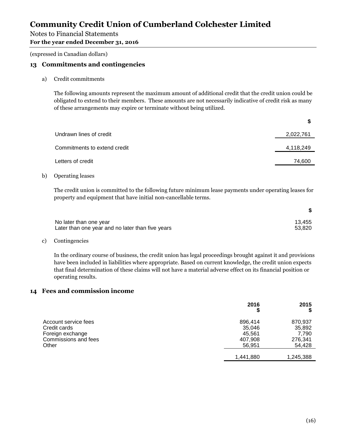## Notes to Financial Statements

**For the year ended December 31, 2016** 

(expressed in Canadian dollars)

## **13 Commitments and contingencies**

a) Credit commitments

The following amounts represent the maximum amount of additional credit that the credit union could be obligated to extend to their members. These amounts are not necessarily indicative of credit risk as many of these arrangements may expire or terminate without being utilized.

| Undrawn lines of credit      | 2,022,761 |
|------------------------------|-----------|
| Commitments to extend credit | 4,118,249 |
| Letters of credit            | 74,600    |
|                              |           |

b) Operating leases

The credit union is committed to the following future minimum lease payments under operating leases for property and equipment that have initial non-cancellable terms.

| No later than one year                           | 13.455 |
|--------------------------------------------------|--------|
| Later than one year and no later than five years | 53.820 |

c) Contingencies

In the ordinary course of business, the credit union has legal proceedings brought against it and provisions have been included in liabilities where appropriate. Based on current knowledge, the credit union expects that final determination of these claims will not have a material adverse effect on its financial position or operating results.

#### **14 Fees and commission income**

|                                                                                  | 2016                                   | 2015                                  |
|----------------------------------------------------------------------------------|----------------------------------------|---------------------------------------|
| Account service fees<br>Credit cards<br>Foreign exchange<br>Commissions and fees | 896,414<br>35,046<br>45.561<br>407,908 | 870,937<br>35,892<br>7,790<br>276,341 |
| Other                                                                            | 56.951                                 | 54,428                                |
|                                                                                  | 1,441,880                              | 1,245,388                             |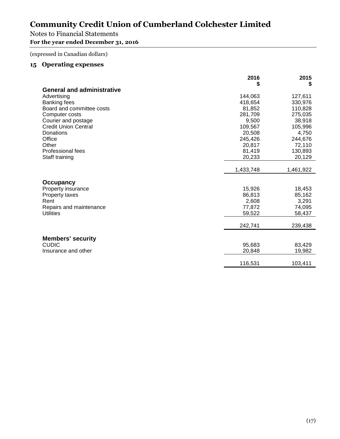## Notes to Financial Statements

## **For the year ended December 31, 2016**

(expressed in Canadian dollars)

## **15 Operating expenses**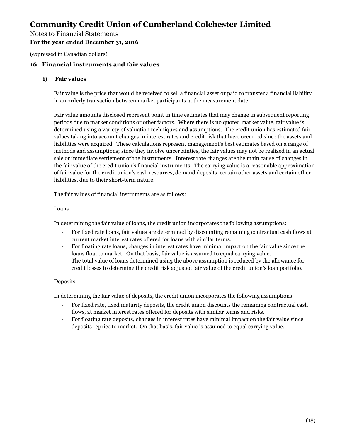## Notes to Financial Statements

**For the year ended December 31, 2016** 

(expressed in Canadian dollars)

## **16 Financial instruments and fair values**

### **i) Fair values**

Fair value is the price that would be received to sell a financial asset or paid to transfer a financial liability in an orderly transaction between market participants at the measurement date.

Fair value amounts disclosed represent point in time estimates that may change in subsequent reporting periods due to market conditions or other factors. Where there is no quoted market value, fair value is determined using a variety of valuation techniques and assumptions. The credit union has estimated fair values taking into account changes in interest rates and credit risk that have occurred since the assets and liabilities were acquired. These calculations represent management's best estimates based on a range of methods and assumptions; since they involve uncertainties, the fair values may not be realized in an actual sale or immediate settlement of the instruments. Interest rate changes are the main cause of changes in the fair value of the credit union's financial instruments. The carrying value is a reasonable approximation of fair value for the credit union's cash resources, demand deposits, certain other assets and certain other liabilities, due to their short-term nature.

The fair values of financial instruments are as follows:

#### Loans

In determining the fair value of loans, the credit union incorporates the following assumptions:

- For fixed rate loans, fair values are determined by discounting remaining contractual cash flows at current market interest rates offered for loans with similar terms.
- For floating rate loans, changes in interest rates have minimal impact on the fair value since the loans float to market. On that basis, fair value is assumed to equal carrying value.
- The total value of loans determined using the above assumption is reduced by the allowance for credit losses to determine the credit risk adjusted fair value of the credit union's loan portfolio.

#### Deposits

In determining the fair value of deposits, the credit union incorporates the following assumptions:

- For fixed rate, fixed maturity deposits, the credit union discounts the remaining contractual cash flows, at market interest rates offered for deposits with similar terms and risks.
- For floating rate deposits, changes in interest rates have minimal impact on the fair value since deposits reprice to market. On that basis, fair value is assumed to equal carrying value.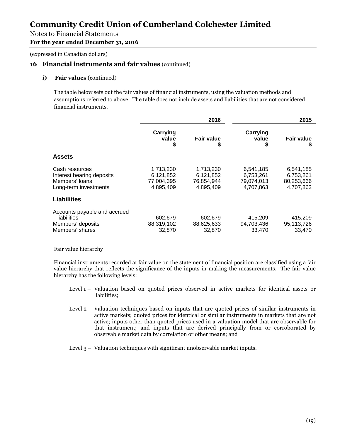## Notes to Financial Statements

**For the year ended December 31, 2016** 

(expressed in Canadian dollars)

## **16 Financial instruments and fair values** (continued)

#### **i)** Fair values (continued)

The table below sets out the fair values of financial instruments, using the valuation methods and assumptions referred to above. The table does not include assets and liabilities that are not considered financial instruments.

|                                                                                        |                                                   | 2016                                              | 2015                                              |                                                   |  |
|----------------------------------------------------------------------------------------|---------------------------------------------------|---------------------------------------------------|---------------------------------------------------|---------------------------------------------------|--|
|                                                                                        | Carrying<br>value<br>\$                           | <b>Fair value</b><br>S                            | Carrying<br>value<br>\$                           | <b>Fair value</b><br>S                            |  |
| <b>Assets</b>                                                                          |                                                   |                                                   |                                                   |                                                   |  |
| Cash resources<br>Interest bearing deposits<br>Members' loans<br>Long-term investments | 1,713,230<br>6,121,852<br>77,004,395<br>4,895,409 | 1,713,230<br>6,121,852<br>76,854,944<br>4,895,409 | 6,541,185<br>6,753,261<br>79,074,013<br>4,707,863 | 6,541,185<br>6,753,261<br>80,253,666<br>4,707,863 |  |
| <b>Liabilities</b>                                                                     |                                                   |                                                   |                                                   |                                                   |  |
| Accounts payable and accrued<br>liabilities<br>Members' deposits<br>Members' shares    | 602,679<br>88,319,102<br>32,870                   | 602,679<br>88,625,633<br>32,870                   | 415,209<br>94,703,436<br>33,470                   | 415,209<br>95,113,726<br>33.470                   |  |

Fair value hierarchy

Financial instruments recorded at fair value on the statement of financial position are classified using a fair value hierarchy that reflects the significance of the inputs in making the measurements. The fair value hierarchy has the following levels:

- Level 1 Valuation based on quoted prices observed in active markets for identical assets or liabilities;
- Level 2 Valuation techniques based on inputs that are quoted prices of similar instruments in active markets; quoted prices for identical or similar instruments in markets that are not active; inputs other than quoted prices used in a valuation model that are observable for that instrument; and inputs that are derived principally from or corroborated by observable market data by correlation or other means; and
- Level 3 Valuation techniques with significant unobservable market inputs.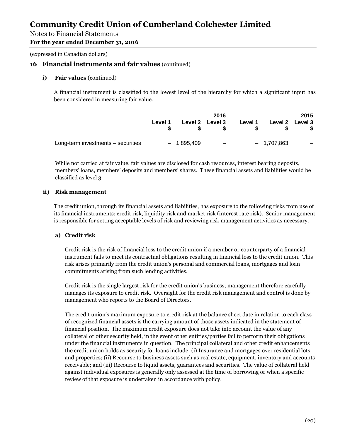## Notes to Financial Statements

### **For the year ended December 31, 2016**

(expressed in Canadian dollars)

## **16 Financial instruments and fair values** (continued)

#### **i)** Fair values (continued)

A financial instrument is classified to the lowest level of the hierarchy for which a significant input has been considered in measuring fair value.

|                                    | 2016    |              |                          |         | 2015         |                          |
|------------------------------------|---------|--------------|--------------------------|---------|--------------|--------------------------|
|                                    | Level 1 |              | Level 2 Level 3          | Level 1 |              | Level 2 Level 3          |
| Long-term investments - securities |         | $-1,895,409$ | $\overline{\phantom{m}}$ |         | $-1,707,863$ | $\overline{\phantom{0}}$ |

While not carried at fair value, fair values are disclosed for cash resources, interest bearing deposits, members' loans, members' deposits and members' shares. These financial assets and liabilities would be classified as level 3.

### **ii) Risk management**

The credit union, through its financial assets and liabilities, has exposure to the following risks from use of its financial instruments: credit risk, liquidity risk and market risk (interest rate risk). Senior management is responsible for setting acceptable levels of risk and reviewing risk management activities as necessary.

#### **a) Credit risk**

Credit risk is the risk of financial loss to the credit union if a member or counterparty of a financial instrument fails to meet its contractual obligations resulting in financial loss to the credit union. This risk arises primarily from the credit union's personal and commercial loans, mortgages and loan commitments arising from such lending activities.

Credit risk is the single largest risk for the credit union's business; management therefore carefully manages its exposure to credit risk. Oversight for the credit risk management and control is done by management who reports to the Board of Directors.

The credit union's maximum exposure to credit risk at the balance sheet date in relation to each class of recognized financial assets is the carrying amount of those assets indicated in the statement of financial position. The maximum credit exposure does not take into account the value of any collateral or other security held, in the event other entities/parties fail to perform their obligations under the financial instruments in question. The principal collateral and other credit enhancements the credit union holds as security for loans include: (i) Insurance and mortgages over residential lots and properties; (ii) Recourse to business assets such as real estate, equipment, inventory and accounts receivable; and (iii) Recourse to liquid assets, guarantees and securities. The value of collateral held against individual exposures is generally only assessed at the time of borrowing or when a specific review of that exposure is undertaken in accordance with policy.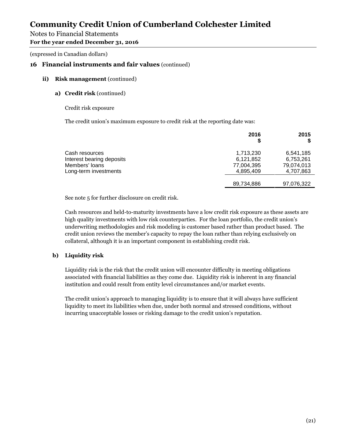## Notes to Financial Statements

### **For the year ended December 31, 2016**

(expressed in Canadian dollars)

## **16 Financial instruments and fair values** (continued)

### **ii) Risk management** (continued)

#### **a) Credit risk** (continued)

Credit risk exposure

The credit union's maximum exposure to credit risk at the reporting date was:

|                           | 2016<br>S  | 2015       |
|---------------------------|------------|------------|
| Cash resources            | 1,713,230  | 6,541,185  |
| Interest bearing deposits | 6,121,852  | 6,753,261  |
| Members' loans            | 77,004,395 | 79,074,013 |
| Long-term investments     | 4,895,409  | 4,707,863  |
|                           |            |            |
|                           | 89,734,886 | 97,076,322 |
|                           |            |            |

See note 5 for further disclosure on credit risk.

Cash resources and held-to-maturity investments have a low credit risk exposure as these assets are high quality investments with low risk counterparties. For the loan portfolio, the credit union's underwriting methodologies and risk modeling is customer based rather than product based. The credit union reviews the member's capacity to repay the loan rather than relying exclusively on collateral, although it is an important component in establishing credit risk.

#### **b) Liquidity risk**

Liquidity risk is the risk that the credit union will encounter difficulty in meeting obligations associated with financial liabilities as they come due. Liquidity risk is inherent in any financial institution and could result from entity level circumstances and/or market events.

The credit union's approach to managing liquidity is to ensure that it will always have sufficient liquidity to meet its liabilities when due, under both normal and stressed conditions, without incurring unacceptable losses or risking damage to the credit union's reputation.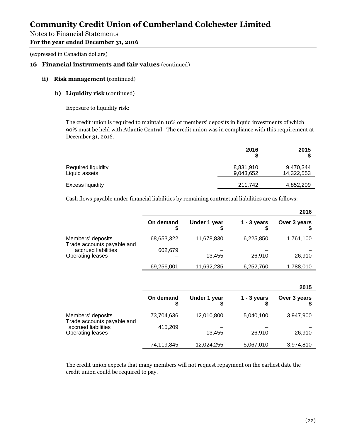## Notes to Financial Statements

### **For the year ended December 31, 2016**

(expressed in Canadian dollars)

## **16 Financial instruments and fair values** (continued)

### **ii) Risk management** (continued)

### **b) Liquidity risk** (continued)

Exposure to liquidity risk:

The credit union is required to maintain 10% of members' deposits in liquid investments of which 90% must be held with Atlantic Central. The credit union was in compliance with this requirement at December 31, 2016.

|                                     | 2016                   | 2015                    |
|-------------------------------------|------------------------|-------------------------|
| Required liquidity<br>Liquid assets | 8,831,910<br>9,043,652 | 9,470,344<br>14,322,553 |
| Excess liquidity                    | 211.742                | 4,852,209               |

Cash flows payable under financial liabilities by remaining contractual liabilities are as follows:

|                                                 |            |              |               | 2016         |
|-------------------------------------------------|------------|--------------|---------------|--------------|
|                                                 | On demand  | Under 1 year | $1 - 3$ years | Over 3 years |
| Members' deposits<br>Trade accounts payable and | 68,653,322 | 11,678,830   | 6,225,850     | 1,761,100    |
| accrued liabilities                             | 602,679    |              |               |              |
| <b>Operating leases</b>                         |            | 13,455       | 26,910        | 26,910       |
|                                                 | 69,256,001 | 11,692,285   | 6,252,760     | 1,788,010    |

|                                                 |            |              |               | 2015         |
|-------------------------------------------------|------------|--------------|---------------|--------------|
|                                                 | On demand  | Under 1 year | $1 - 3$ years | Over 3 years |
| Members' deposits<br>Trade accounts payable and | 73,704,636 | 12,010,800   | 5,040,100     | 3,947,900    |
| accrued liabilities<br><b>Operating leases</b>  | 415,209    | 13,455       | 26,910        | 26,910       |
|                                                 | 74,119,845 | 12,024,255   | 5,067,010     | 3,974,810    |

The credit union expects that many members will not request repayment on the earliest date the credit union could be required to pay.

**2016**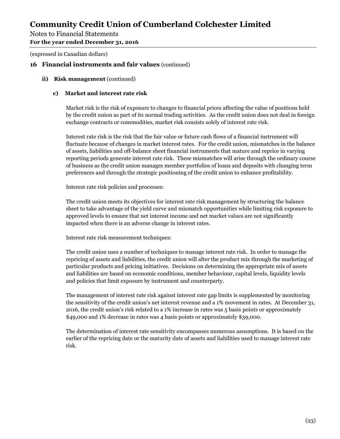## Notes to Financial Statements

### **For the year ended December 31, 2016**

(expressed in Canadian dollars)

### **16 Financial instruments and fair values** (continued)

#### **ii) Risk management** (continued)

#### **c) Market and interest rate risk**

Market risk is the risk of exposure to changes to financial prices affecting the value of positions held by the credit union as part of its normal trading activities. As the credit union does not deal in foreign exchange contracts or commodities, market risk consists solely of interest rate risk.

Interest rate risk is the risk that the fair value or future cash flows of a financial instrument will fluctuate because of changes in market interest rates. For the credit union, mismatches in the balance of assets, liabilities and off-balance sheet financial instruments that mature and reprice in varying reporting periods generate interest rate risk. These mismatches will arise through the ordinary course of business as the credit union manages member portfolios of loans and deposits with changing term preferences and through the strategic positioning of the credit union to enhance profitability.

Interest rate risk policies and processes:

The credit union meets its objectives for interest rate risk management by structuring the balance sheet to take advantage of the yield curve and mismatch opportunities while limiting risk exposure to approved levels to ensure that net interest income and net market values are not significantly impacted when there is an adverse change in interest rates.

Interest rate risk measurement techniques:

The credit union uses a number of techniques to manage interest rate risk. In order to manage the repricing of assets and liabilities, the credit union will alter the product mix through the marketing of particular products and pricing initiatives. Decisions on determining the appropriate mix of assets and liabilities are based on economic conditions, member behaviour, capital levels, liquidity levels and policies that limit exposure by instrument and counterparty.

The management of interest rate risk against interest rate gap limits is supplemented by monitoring the sensitivity of the credit union's net interest revenue and a 1% movement in rates. At December 31, 2016, the credit union's risk related to a 1% increase in rates was 5 basis points or approximately \$49,000 and 1% decrease in rates was 4 basis points or approximately \$39,000.

The determination of interest rate sensitivity encompasses numerous assumptions. It is based on the earlier of the repricing date or the maturity date of assets and liabilities used to manage interest rate risk.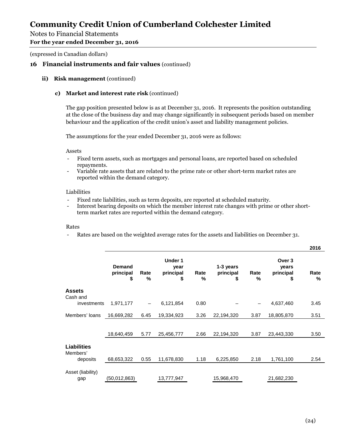## Notes to Financial Statements

### **For the year ended December 31, 2016**

(expressed in Canadian dollars)

### **16 Financial instruments and fair values** (continued)

#### **ii)** Risk management (continued)

#### **c) Market and interest rate risk** (continued)

The gap position presented below is as at December 31, 2016. It represents the position outstanding at the close of the business day and may change significantly in subsequent periods based on member behaviour and the application of the credit union's asset and liability management policies.

The assumptions for the year ended December 31, 2016 were as follows:

#### Assets

- Fixed term assets, such as mortgages and personal loans, are reported based on scheduled repayments.
- Variable rate assets that are related to the prime rate or other short-term market rates are reported within the demand category.

#### Liabilities

- Fixed rate liabilities, such as term deposits, are reported at scheduled maturity.
- Interest bearing deposits on which the member interest rate changes with prime or other shortterm market rates are reported within the demand category.

#### Rates

Rates are based on the weighted average rates for the assets and liabilities on December 31.

|                                            |                                  |                          |                                    |           |                              |                       |                                    | 2016      |
|--------------------------------------------|----------------------------------|--------------------------|------------------------------------|-----------|------------------------------|-----------------------|------------------------------------|-----------|
|                                            | <b>Demand</b><br>principal<br>\$ | Rate<br>$\frac{0}{0}$    | Under 1<br>year<br>principal<br>\$ | Rate<br>% | 1-3 years<br>principal<br>\$ | Rate<br>$\frac{0}{0}$ | Over 3<br>years<br>principal<br>\$ | Rate<br>% |
| <b>Assets</b><br>Cash and                  |                                  |                          |                                    |           |                              |                       |                                    |           |
| investments                                | 1,971,177                        | $\overline{\phantom{m}}$ | 6,121,854                          | 0.80      |                              | -                     | 4,637,460                          | 3.45      |
| Members' loans                             | 16,669,282                       | 6.45                     | 19,334,923                         | 3.26      | 22,194,320                   | 3.87                  | 18,805,870                         | 3.51      |
|                                            | 18,640,459                       | 5.77                     | 25,456,777                         | 2.66      | 22,194,320                   | 3.87                  | 23,443,330                         | 3.50      |
| <b>Liabilities</b><br>Members'<br>deposits | 68,653,322                       | 0.55                     | 11,678,830                         | 1.18      | 6,225,850                    | 2.18                  | 1,761,100                          | 2.54      |
| Asset (liability)                          |                                  |                          |                                    |           |                              |                       |                                    |           |
| gap                                        | (50,012,863)                     |                          | 13,777,947                         |           | 15,968,470                   |                       | 21,682,230                         |           |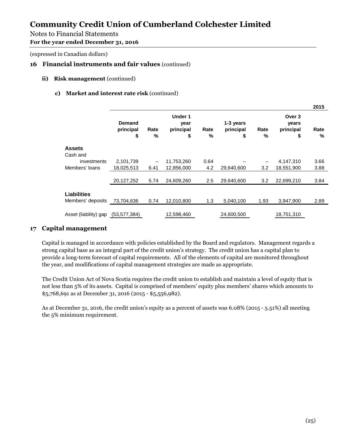## Notes to Financial Statements

**For the year ended December 31, 2016** 

(expressed in Canadian dollars)

## **16 Financial instruments and fair values** (continued)

### **ii)** Risk management (continued)

## **c) Market and interest rate risk** (continued)

|                                         |                           |           |                                           |              |                              |              |                                    | 2015      |
|-----------------------------------------|---------------------------|-----------|-------------------------------------------|--------------|------------------------------|--------------|------------------------------------|-----------|
|                                         | Demand<br>principal<br>\$ | Rate<br>% | <b>Under 1</b><br>year<br>principal<br>\$ | Rate<br>$\%$ | 1-3 years<br>principal<br>\$ | Rate<br>$\%$ | Over 3<br>years<br>principal<br>\$ | Rate<br>% |
| <b>Assets</b><br>Cash and               |                           |           |                                           |              |                              |              |                                    |           |
| investments                             | 2,101,739                 | —         | 11,753,260                                | 0.64         |                              |              | 4,147,310                          | 3.66      |
| Members' loans                          | 18,025,513                | 6.41      | 12,856,000                                | 4.2          | 29,640,600                   | 3.2          | 18,551,900                         | 3.88      |
|                                         | 20,127,252                | 5.74      | 24,609,260                                | 2.5          | 29,640,600                   | 3.2          | 22,699,210                         | 3.84      |
| <b>Liabilities</b><br>Members' deposits | 73,704,636                | 0.74      | 12,010,800                                | 1.3          | 5,040,100                    | 1.93         | 3,947,900                          | 2.89      |
| Asset (liability) gap                   | (53, 577, 384)            |           | 12,598,460                                |              | 24,600,500                   |              | 18,751,310                         |           |

## **17 Capital management**

Capital is managed in accordance with policies established by the Board and regulators. Management regards a strong capital base as an integral part of the credit union's strategy. The credit union has a capital plan to provide a long-term forecast of capital requirements. All of the elements of capital are monitored throughout the year, and modifications of capital management strategies are made as appropriate.

The Credit Union Act of Nova Scotia requires the credit union to establish and maintain a level of equity that is not less than 5% of its assets. Capital is comprised of members' equity plus members' shares which amounts to \$5,768,691 as at December 31, 2016 (2015 - \$5,556,982).

As at December 31, 2016, the credit union's equity as a percent of assets was 6.08% (2015 - 5.51%) all meeting the 5% minimum requirement.